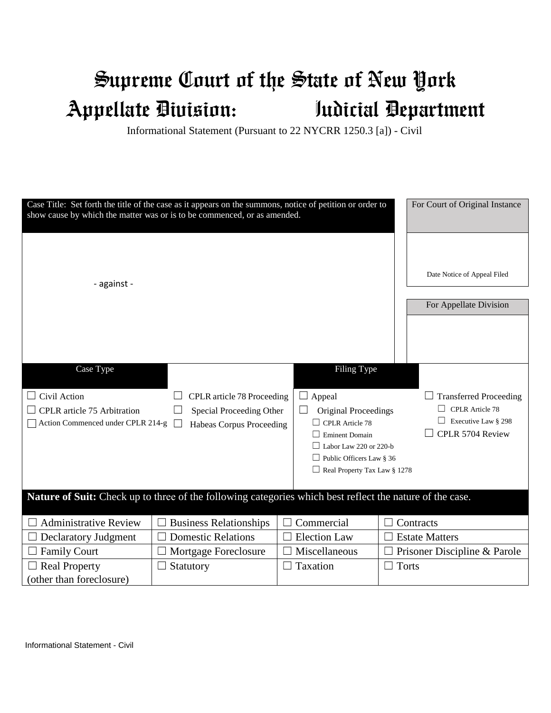## Supreme Court of the State of New York Appellate Division: Judicial Department

Informational Statement (Pursuant to 22 NYCRR 1250.3 [a]) - Civil

| Case Title: Set forth the title of the case as it appears on the summons, notice of petition or order to<br>For Court of Original Instance<br>show cause by which the matter was or is to be commenced, or as amended. |                                                                                    |                                                                                                                                                                                             |                                                                                                    |
|------------------------------------------------------------------------------------------------------------------------------------------------------------------------------------------------------------------------|------------------------------------------------------------------------------------|---------------------------------------------------------------------------------------------------------------------------------------------------------------------------------------------|----------------------------------------------------------------------------------------------------|
| - against -                                                                                                                                                                                                            |                                                                                    |                                                                                                                                                                                             | Date Notice of Appeal Filed                                                                        |
|                                                                                                                                                                                                                        |                                                                                    |                                                                                                                                                                                             | For Appellate Division                                                                             |
| Case Type<br>Civil Action<br>CPLR article 75 Arbitration<br>Action Commenced under CPLR 214-g                                                                                                                          | CPLR article 78 Proceeding<br>Special Proceeding Other<br>Habeas Corpus Proceeding | Filing Type<br>Appeal<br>ப<br>Original Proceedings<br><b>CPLR</b> Article 78<br><b>Eminent Domain</b><br>Labor Law 220 or 220-b<br>Public Officers Law § 36<br>Real Property Tax Law § 1278 | <b>Transferred Proceeding</b><br><b>CPLR</b> Article 78<br>Executive Law § 298<br>CPLR 5704 Review |
| Nature of Suit: Check up to three of the following categories which best reflect the nature of the case.                                                                                                               |                                                                                    |                                                                                                                                                                                             |                                                                                                    |
| <b>Administrative Review</b>                                                                                                                                                                                           | <b>Business Relationships</b>                                                      | Commercial                                                                                                                                                                                  | Contracts                                                                                          |
| <b>Declaratory Judgment</b>                                                                                                                                                                                            | <b>Domestic Relations</b>                                                          | <b>Election Law</b>                                                                                                                                                                         | <b>Estate Matters</b>                                                                              |
| <b>Family Court</b>                                                                                                                                                                                                    | Mortgage Foreclosure                                                               | Miscellaneous                                                                                                                                                                               | Prisoner Discipline & Parole                                                                       |
| <b>Real Property</b><br>(other than foreclosure)                                                                                                                                                                       | Statutory                                                                          | Taxation                                                                                                                                                                                    | Torts                                                                                              |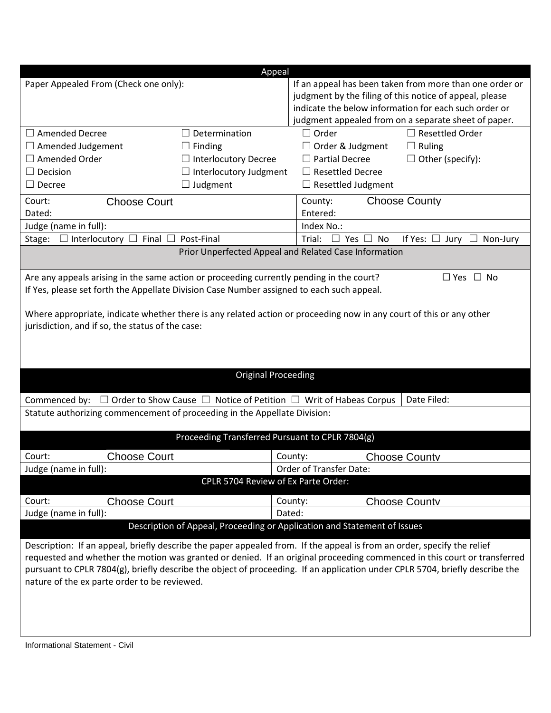|                                                                                                                              | Appeal                                                                   |                                                         |                                                       |  |  |
|------------------------------------------------------------------------------------------------------------------------------|--------------------------------------------------------------------------|---------------------------------------------------------|-------------------------------------------------------|--|--|
| Paper Appealed From (Check one only):                                                                                        |                                                                          | If an appeal has been taken from more than one order or |                                                       |  |  |
|                                                                                                                              |                                                                          | judgment by the filing of this notice of appeal, please |                                                       |  |  |
|                                                                                                                              |                                                                          |                                                         | indicate the below information for each such order or |  |  |
|                                                                                                                              |                                                                          |                                                         | judgment appealed from on a separate sheet of paper.  |  |  |
| $\Box$ Amended Decree                                                                                                        | Determination                                                            | $\Box$ Order                                            | Resettled Order                                       |  |  |
| $\Box$ Amended Judgement                                                                                                     | $\Box$ Finding                                                           | $\Box$ Order & Judgment                                 | $\Box$ Ruling                                         |  |  |
| $\Box$ Amended Order                                                                                                         | $\Box$ Interlocutory Decree                                              | $\Box$ Partial Decree                                   | $\Box$ Other (specify):                               |  |  |
| $\Box$ Decision                                                                                                              | $\Box$ Interlocutory Judgment                                            | $\Box$ Resettled Decree                                 |                                                       |  |  |
| $\Box$ Decree                                                                                                                | $\Box$ Judgment                                                          | $\Box$ Resettled Judgment                               |                                                       |  |  |
| Court:<br><b>Choose Court</b>                                                                                                |                                                                          | <b>Choose County</b><br>County:                         |                                                       |  |  |
| Dated:                                                                                                                       |                                                                          | Entered:                                                |                                                       |  |  |
| Judge (name in full):                                                                                                        |                                                                          | Index No.:                                              |                                                       |  |  |
| $\Box$ Interlocutory $\Box$ Final $\Box$<br>Stage:                                                                           | Post-Final                                                               | Trial: $\Box$ Yes $\Box$ No                             | If Yes: $\Box$ Jury $\Box$<br>Non-Jury                |  |  |
|                                                                                                                              | Prior Unperfected Appeal and Related Case Information                    |                                                         |                                                       |  |  |
|                                                                                                                              |                                                                          |                                                         |                                                       |  |  |
| Are any appeals arising in the same action or proceeding currently pending in the court?                                     |                                                                          |                                                         | $\Box$ Yes $\Box$ No                                  |  |  |
| If Yes, please set forth the Appellate Division Case Number assigned to each such appeal.                                    |                                                                          |                                                         |                                                       |  |  |
|                                                                                                                              |                                                                          |                                                         |                                                       |  |  |
| Where appropriate, indicate whether there is any related action or proceeding now in any court of this or any other          |                                                                          |                                                         |                                                       |  |  |
| jurisdiction, and if so, the status of the case:                                                                             |                                                                          |                                                         |                                                       |  |  |
|                                                                                                                              |                                                                          |                                                         |                                                       |  |  |
|                                                                                                                              |                                                                          |                                                         |                                                       |  |  |
|                                                                                                                              | <b>Original Proceeding</b>                                               |                                                         |                                                       |  |  |
|                                                                                                                              |                                                                          |                                                         |                                                       |  |  |
| Commenced by: $\Box$ Order to Show Cause $\Box$ Notice of Petition $\Box$ Writ of Habeas Corpus                              |                                                                          |                                                         | Date Filed:                                           |  |  |
| Statute authorizing commencement of proceeding in the Appellate Division:                                                    |                                                                          |                                                         |                                                       |  |  |
|                                                                                                                              |                                                                          |                                                         |                                                       |  |  |
|                                                                                                                              | Proceeding Transferred Pursuant to CPLR 7804(g)                          |                                                         |                                                       |  |  |
| <b>Choose Court</b><br>Court:                                                                                                |                                                                          | County:                                                 | <b>Choose County</b>                                  |  |  |
| Judge (name in full):                                                                                                        |                                                                          | Order of Transfer Date:                                 |                                                       |  |  |
| CPLR 5704 Review of Ex Parte Order:                                                                                          |                                                                          |                                                         |                                                       |  |  |
| Court:<br><b>Choose Court</b>                                                                                                |                                                                          | County:                                                 | <b>Choose Countv</b>                                  |  |  |
| Judge (name in full):                                                                                                        |                                                                          | Dated:                                                  |                                                       |  |  |
|                                                                                                                              | Description of Appeal, Proceeding or Application and Statement of Issues |                                                         |                                                       |  |  |
|                                                                                                                              |                                                                          |                                                         |                                                       |  |  |
| Description: If an appeal, briefly describe the paper appealed from. If the appeal is from an order, specify the relief      |                                                                          |                                                         |                                                       |  |  |
| requested and whether the motion was granted or denied. If an original proceeding commenced in this court or transferred     |                                                                          |                                                         |                                                       |  |  |
| pursuant to CPLR 7804(g), briefly describe the object of proceeding. If an application under CPLR 5704, briefly describe the |                                                                          |                                                         |                                                       |  |  |
| nature of the ex parte order to be reviewed.                                                                                 |                                                                          |                                                         |                                                       |  |  |
|                                                                                                                              |                                                                          |                                                         |                                                       |  |  |
|                                                                                                                              |                                                                          |                                                         |                                                       |  |  |
|                                                                                                                              |                                                                          |                                                         |                                                       |  |  |
|                                                                                                                              |                                                                          |                                                         |                                                       |  |  |
| Informational Statement - Civil                                                                                              |                                                                          |                                                         |                                                       |  |  |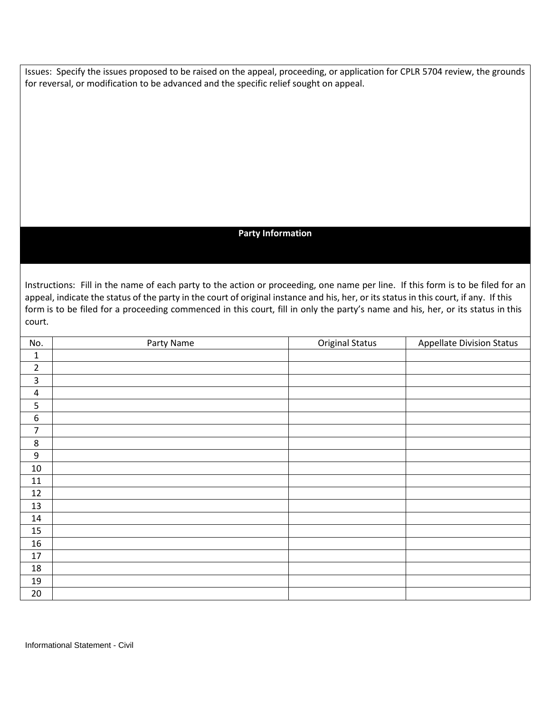Issues: Specify the issues proposed to be raised on the appeal, proceeding, or application for CPLR 5704 review, the grounds for reversal, or modification to be advanced and the specific relief sought on appeal.

## **Party Information**

 appeal, indicate the status of the party in the court of original instance and his, her, or its status in this court, if any. If this Instructions: Fill in the name of each party to the action or proceeding, one name per line. If this form is to be filed for an form is to be filed for a proceeding commenced in this court, fill in only the party's name and his, her, or its status in this court.

| No.                     | Party Name | <b>Original Status</b> | <b>Appellate Division Status</b> |
|-------------------------|------------|------------------------|----------------------------------|
| $\mathbf 1$             |            |                        |                                  |
| $\overline{2}$          |            |                        |                                  |
| 3                       |            |                        |                                  |
| $\overline{\mathbf{4}}$ |            |                        |                                  |
| 5                       |            |                        |                                  |
| $\boldsymbol{6}$        |            |                        |                                  |
| 7                       |            |                        |                                  |
| $\,8\,$                 |            |                        |                                  |
| $\boldsymbol{9}$        |            |                        |                                  |
| $10\,$                  |            |                        |                                  |
| 11                      |            |                        |                                  |
| 12                      |            |                        |                                  |
| 13                      |            |                        |                                  |
| 14                      |            |                        |                                  |
| 15                      |            |                        |                                  |
| 16                      |            |                        |                                  |
| 17                      |            |                        |                                  |
| 18                      |            |                        |                                  |
| 19                      |            |                        |                                  |
| 20                      |            |                        |                                  |